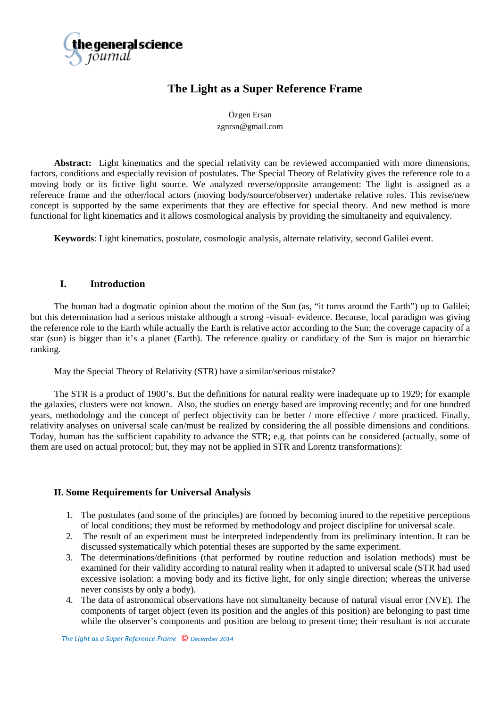

# **The Light as a Super Reference Frame**

Özgen Ersan zgnrsn@gmail.com

**Abstract:** Light kinematics and the special relativity can be reviewed accompanied with more dimensions, factors, conditions and especially revision of postulates. The Special Theory of Relativity gives the reference role to a moving body or its fictive light source. We analyzed reverse/opposite arrangement: The light is assigned as a reference frame and the other/local actors (moving body/source/observer) undertake relative roles. This revise/new concept is supported by the same experiments that they are effective for special theory. And new method is more functional for light kinematics and it allows cosmological analysis by providing the simultaneity and equivalency.

**Keywords**: Light kinematics, postulate, cosmologic analysis, alternate relativity, second Galilei event.

## **I. Introduction**

The human had a dogmatic opinion about the motion of the Sun (as, "it turns around the Earth") up to Galilei; but this determination had a serious mistake although a strong -visual- evidence. Because, local paradigm was giving the reference role to the Earth while actually the Earth is relative actor according to the Sun; the coverage capacity of a star (sun) is bigger than it's a planet (Earth). The reference quality or candidacy of the Sun is major on hierarchic ranking.

May the Special Theory of Relativity (STR) have a similar/serious mistake?

The STR is a product of 1900's. But the definitions for natural reality were inadequate up to 1929; for example the galaxies, clusters were not known. Also, the studies on energy based are improving recently; and for one hundred years, methodology and the concept of perfect objectivity can be better / more effective / more practiced. Finally, relativity analyses on universal scale can/must be realized by considering the all possible dimensions and conditions. Today, human has the sufficient capability to advance the STR; e.g. that points can be considered (actually, some of them are used on actual protocol; but, they may not be applied in STR and Lorentz transformations):

## **II. Some Requirements for Universal Analysis**

- 1. The postulates (and some of the principles) are formed by becoming inured to the repetitive perceptions of local conditions; they must be reformed by methodology and project discipline for universal scale.
- 2. The result of an experiment must be interpreted independently from its preliminary intention. It can be discussed systematically which potential theses are supported by the same experiment.
- 3. The determinations/definitions (that performed by routine reduction and isolation methods) must be examined for their validity according to natural reality when it adapted to universal scale (STR had used excessive isolation: a moving body and its fictive light, for only single direction; whereas the universe never consists by only a body).
- 4. The data of astronomical observations have not simultaneity because of natural visual error (NVE). The components of target object (even its position and the angles of this position) are belonging to past time while the observer's components and position are belong to present time; their resultant is not accurate

 *The Light as a Super Reference Frame* © *December 2014*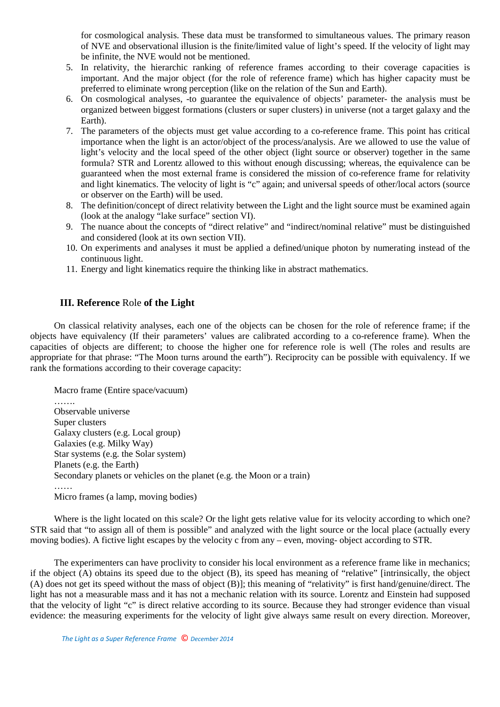for cosmological analysis. These data must be transformed to simultaneous values. The primary reason of NVE and observational illusion is the finite/limited value of light's speed. If the velocity of light may be infinite, the NVE would not be mentioned.

- 5. In relativity, the hierarchic ranking of reference frames according to their coverage capacities is important. And the major object (for the role of reference frame) which has higher capacity must be preferred to eliminate wrong perception (like on the relation of the Sun and Earth).
- 6. On cosmological analyses, -to guarantee the equivalence of objects' parameter- the analysis must be organized between biggest formations (clusters or super clusters) in universe (not a target galaxy and the Earth).
- 7. The parameters of the objects must get value according to a co-reference frame. This point has critical importance when the light is an actor/object of the process/analysis. Are we allowed to use the value of light's velocity and the local speed of the other object (light source or observer) together in the same formula? STR and Lorentz allowed to this without enough discussing; whereas, the equivalence can be guaranteed when the most external frame is considered the mission of co-reference frame for relativity and light kinematics. The velocity of light is "c" again; and universal speeds of other/local actors (source or observer on the Earth) will be used.
- 8. The definition/concept of direct relativity between the Light and the light source must be examined again (look at the analogy "lake surface" section VI).
- 9. The nuance about the concepts of "direct relative" and "indirect/nominal relative" must be distinguished and considered (look at its own section VII).
- 10. On experiments and analyses it must be applied a defined/unique photon by numerating instead of the continuous light.
- 11. Energy and light kinematics require the thinking like in abstract mathematics.

# **III. Reference** Role **of the Light**

On classical relativity analyses, each one of the objects can be chosen for the role of reference frame; if the objects have equivalency (If their parameters' values are calibrated according to a co-reference frame). When the capacities of objects are different; to choose the higher one for reference role is well (The roles and results are appropriate for that phrase: "The Moon turns around the earth"). Reciprocity can be possible with equivalency. If we rank the formations according to their coverage capacity:

Macro frame (Entire space/vacuum) …… Observable universe Super clusters Galaxy clusters (e.g. Local group) Galaxies (e.g. Milky Way) Star systems (e.g. the Solar system) Planets (e.g. the Earth) Secondary planets or vehicles on the planet (e.g. the Moon or a train) …… Micro frames (a lamp, moving bodies)

Where is the light located on this scale? Or the light gets relative value for its velocity according to which one? STR said that "to assign all of them is possible" and analyzed with the light source or the local place (actually every moving bodies). A fictive light escapes by the velocity c from any – even, moving- object according to STR.

The experimenters can have proclivity to consider his local environment as a reference frame like in mechanics; if the object (A) obtains its speed due to the object (B), its speed has meaning of "relative" [intrinsically, the object (A) does not get its speed without the mass of object (B)]; this meaning of "relativity" is first hand/genuine/direct. The light has not a measurable mass and it has not a mechanic relation with its source. Lorentz and Einstein had supposed that the velocity of light "c" is direct relative according to its source. Because they had stronger evidence than visual evidence: the measuring experiments for the velocity of light give always same result on every direction. Moreover,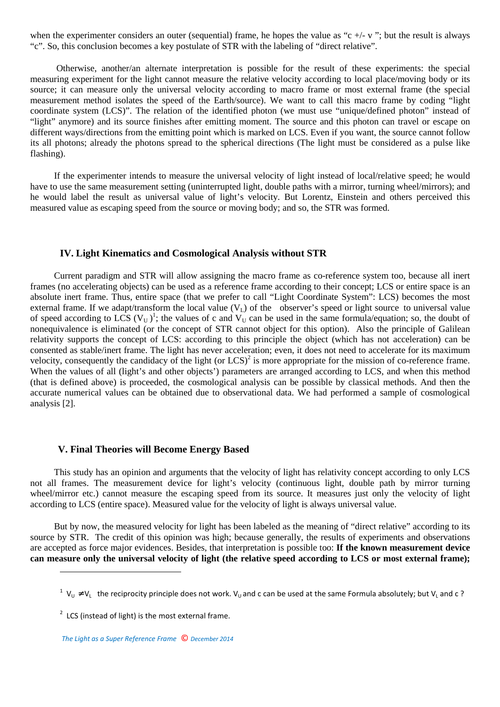when the experimenter considers an outer (sequential) frame, he hopes the value as "c +/- v"; but the result is always "c". So, this conclusion becomes a key postulate of STR with the labeling of "direct relative".

 Otherwise, another/an alternate interpretation is possible for the result of these experiments: the special measuring experiment for the light cannot measure the relative velocity according to local place/moving body or its source; it can measure only the universal velocity according to macro frame or most external frame (the special measurement method isolates the speed of the Earth/source). We want to call this macro frame by coding "light coordinate system (LCS)". The relation of the identified photon (we must use "unique/defined photon" instead of "light" anymore) and its source finishes after emitting moment. The source and this photon can travel or escape on different ways/directions from the emitting point which is marked on LCS. Even if you want, the source cannot follow its all photons; already the photons spread to the spherical directions (The light must be considered as a pulse like flashing).

If the experimenter intends to measure the universal velocity of light instead of local/relative speed; he would have to use the same measurement setting (uninterrupted light, double paths with a mirror, turning wheel/mirrors); and he would label the result as universal value of light's velocity. But Lorentz, Einstein and others perceived this measured value as escaping speed from the source or moving body; and so, the STR was formed.

## **IV. Light Kinematics and Cosmological Analysis without STR**

Current paradigm and STR will allow assigning the macro frame as co-reference system too, because all inert frames (no accelerating objects) can be used as a reference frame according to their concept; LCS or entire space is an absolute inert frame. Thus, entire space (that we prefer to call "Light Coordinate System": LCS) becomes the most external frame. If we adapt/transform the local value  $(V<sub>L</sub>)$  of the observer's speed or light source to universal value of speed according to LCS (V<sub>U</sub>)<sup>1</sup>; the values of c and V<sub>U</sub> can be used in the same formula/equation; so, the doubt of nonequivalence is eliminated (or the concept of STR cannot object for this option). Also the principle of Galilean relativity supports the concept of LCS: according to this principle the object (which has not acceleration) can be consented as stable/inert frame. The light has never acceleration; even, it does not need to accelerate for its maximum velocity, consequently the candidacy of the light (or  $LCS$ )<sup>2</sup> is more appropriate for the mission of co-reference frame. When the values of all (light's and other objects') parameters are arranged according to LCS, and when this method (that is defined above) is proceeded, the cosmological analysis can be possible by classical methods. And then the accurate numerical values can be obtained due to observational data. We had performed a sample of cosmological analysis [2].

## **V. Final Theories will Become Energy Based**

This study has an opinion and arguments that the velocity of light has relativity concept according to only LCS not all frames. The measurement device for light's velocity (continuous light, double path by mirror turning wheel/mirror etc.) cannot measure the escaping speed from its source. It measures just only the velocity of light according to LCS (entire space). Measured value for the velocity of light is always universal value.

But by now, the measured velocity for light has been labeled as the meaning of "direct relative" according to its source by STR. The credit of this opinion was high; because generally, the results of experiments and observations are accepted as force major evidences. Besides, that interpretation is possible too: **If the known measurement device can measure only the universal velocity of light (the relative speed according to LCS or most external frame);** 

 $\overline{\phantom{a}}$ 

<sup>&</sup>lt;sup>1</sup> V<sub>U</sub> ≠ V<sub>L</sub> the reciprocity principle does not work. V<sub>U</sub> and c can be used at the same Formula absolutely; but V<sub>L</sub> and c ?

 $2$  LCS (instead of light) is the most external frame.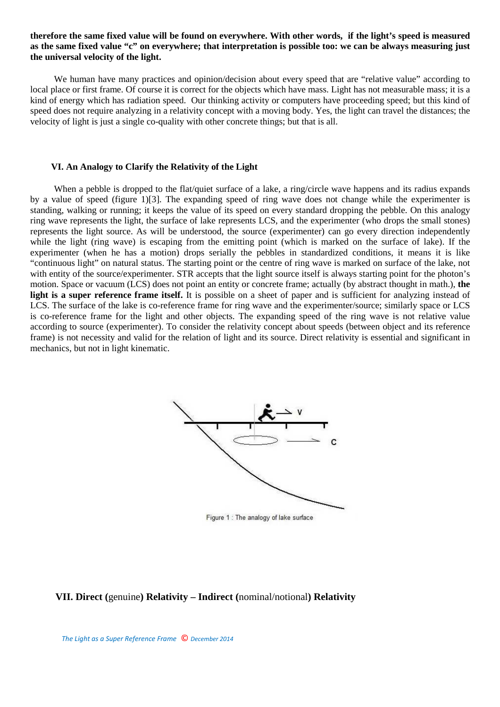## **therefore the same fixed value will be found on everywhere. With other words, if the light's speed is measured as the same fixed value "c" on everywhere; that interpretation is possible too: we can be always measuring just the universal velocity of the light.**

We human have many practices and opinion/decision about every speed that are "relative value" according to local place or first frame. Of course it is correct for the objects which have mass. Light has not measurable mass; it is a kind of energy which has radiation speed. Our thinking activity or computers have proceeding speed; but this kind of speed does not require analyzing in a relativity concept with a moving body. Yes, the light can travel the distances; the velocity of light is just a single co-quality with other concrete things; but that is all.

#### **VI. An Analogy to Clarify the Relativity of the Light**

When a pebble is dropped to the flat/quiet surface of a lake, a ring/circle wave happens and its radius expands by a value of speed (figure 1)[3]. The expanding speed of ring wave does not change while the experimenter is standing, walking or running; it keeps the value of its speed on every standard dropping the pebble. On this analogy ring wave represents the light, the surface of lake represents LCS, and the experimenter (who drops the small stones) represents the light source. As will be understood, the source (experimenter) can go every direction independently while the light (ring wave) is escaping from the emitting point (which is marked on the surface of lake). If the experimenter (when he has a motion) drops serially the pebbles in standardized conditions, it means it is like "continuous light" on natural status. The starting point or the centre of ring wave is marked on surface of the lake, not with entity of the source/experimenter. STR accepts that the light source itself is always starting point for the photon's motion. Space or vacuum (LCS) does not point an entity or concrete frame; actually (by abstract thought in math.), **the light is a super reference frame itself.** It is possible on a sheet of paper and is sufficient for analyzing instead of LCS. The surface of the lake is co-reference frame for ring wave and the experimenter/source; similarly space or LCS is co-reference frame for the light and other objects. The expanding speed of the ring wave is not relative value according to source (experimenter). To consider the relativity concept about speeds (between object and its reference frame) is not necessity and valid for the relation of light and its source. Direct relativity is essential and significant in mechanics, but not in light kinematic.



Figure 1 : The analogy of lake surface

## **VII. Direct (**genuine**) Relativity – Indirect (**nominal/notional**) Relativity**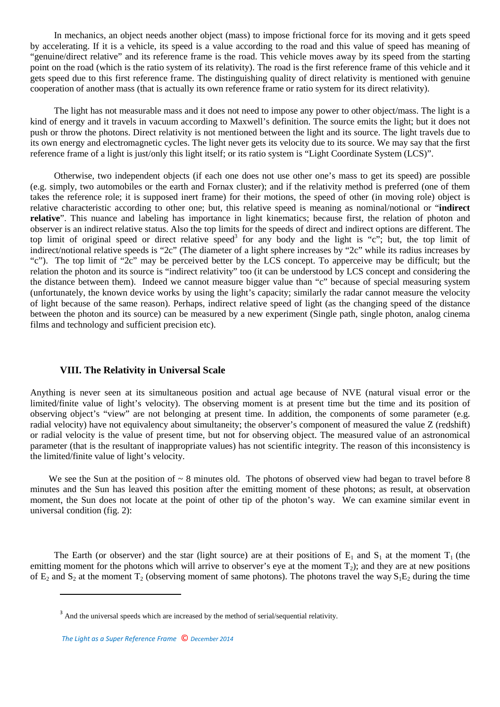In mechanics, an object needs another object (mass) to impose frictional force for its moving and it gets speed by accelerating. If it is a vehicle, its speed is a value according to the road and this value of speed has meaning of "genuine/direct relative" and its reference frame is the road. This vehicle moves away by its speed from the starting point on the road (which is the ratio system of its relativity). The road is the first reference frame of this vehicle and it gets speed due to this first reference frame. The distinguishing quality of direct relativity is mentioned with genuine cooperation of another mass (that is actually its own reference frame or ratio system for its direct relativity).

The light has not measurable mass and it does not need to impose any power to other object/mass. The light is a kind of energy and it travels in vacuum according to Maxwell's definition. The source emits the light; but it does not push or throw the photons. Direct relativity is not mentioned between the light and its source. The light travels due to its own energy and electromagnetic cycles. The light never gets its velocity due to its source. We may say that the first reference frame of a light is just/only this light itself; or its ratio system is "Light Coordinate System (LCS)".

Otherwise, two independent objects (if each one does not use other one's mass to get its speed) are possible (e.g. simply, two automobiles or the earth and Fornax cluster); and if the relativity method is preferred (one of them takes the reference role; it is supposed inert frame) for their motions, the speed of other (in moving role) object is relative characteristic according to other one; but, this relative speed is meaning as nominal/notional or "**indirect relative**". This nuance and labeling has importance in light kinematics; because first, the relation of photon and observer is an indirect relative status. Also the top limits for the speeds of direct and indirect options are different. The top limit of original speed or direct relative speed<sup>3</sup> for any body and the light is "c"; but, the top limit of indirect/notional relative speeds is "2c" (The diameter of a light sphere increases by "2c" while its radius increases by "c"). The top limit of "2c" may be perceived better by the LCS concept. To apperceive may be difficult; but the relation the photon and its source is "indirect relativity" too (it can be understood by LCS concept and considering the the distance between them). Indeed we cannot measure bigger value than "c" because of special measuring system (unfortunately, the known device works by using the light's capacity; similarly the radar cannot measure the velocity of light because of the same reason). Perhaps, indirect relative speed of light (as the changing speed of the distance between the photon and its source) can be measured by a new experiment (Single path, single photon, analog cinema films and technology and sufficient precision etc).

## **VIII. The Relativity in Universal Scale**

Anything is never seen at its simultaneous position and actual age because of NVE (natural visual error or the limited/finite value of light's velocity). The observing moment is at present time but the time and its position of observing object's "view" are not belonging at present time. In addition, the components of some parameter (e.g. radial velocity) have not equivalency about simultaneity; the observer's component of measured the value Z (redshift) or radial velocity is the value of present time, but not for observing object. The measured value of an astronomical parameter (that is the resultant of inappropriate values) has not scientific integrity. The reason of this inconsistency is the limited/finite value of light's velocity.

We see the Sun at the position of  $\sim 8$  minutes old. The photons of observed view had began to travel before 8 minutes and the Sun has leaved this position after the emitting moment of these photons; as result, at observation moment, the Sun does not locate at the point of other tip of the photon's way. We can examine similar event in universal condition (fig. 2):

The Earth (or observer) and the star (light source) are at their positions of  $E_1$  and  $S_1$  at the moment  $T_1$  (the emitting moment for the photons which will arrive to observer's eye at the moment  $T_2$ ); and they are at new positions of  $E_2$  and  $S_2$  at the moment  $T_2$  (observing moment of same photons). The photons travel the way  $S_1E_2$  during the time

l

<sup>&</sup>lt;sup>3</sup> And the universal speeds which are increased by the method of serial/sequential relativity.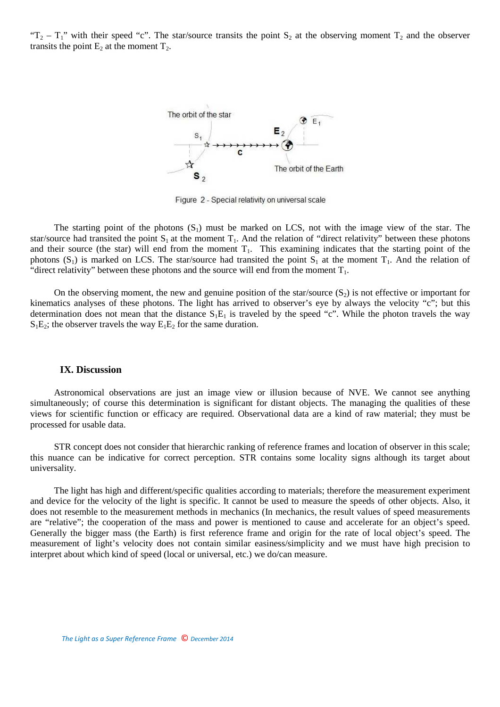" $T_2 - T_1$ " with their speed "c". The star/source transits the point  $S_2$  at the observing moment  $T_2$  and the observer transits the point  $E_2$  at the moment  $T_2$ .



Figure 2 - Special relativity on universal scale

The starting point of the photons  $(S_1)$  must be marked on LCS, not with the image view of the star. The star/source had transited the point  $S_1$  at the moment  $T_1$ . And the relation of "direct relativity" between these photons and their source (the star) will end from the moment  $T_1$ . This examining indicates that the starting point of the photons  $(S_1)$  is marked on LCS. The star/source had transited the point  $S_1$  at the moment  $T_1$ . And the relation of "direct relativity" between these photons and the source will end from the moment  $T_1$ .

On the observing moment, the new and genuine position of the star/source  $(S_2)$  is not effective or important for kinematics analyses of these photons. The light has arrived to observer's eye by always the velocity "c"; but this determination does not mean that the distance  $S_1E_1$  is traveled by the speed "c". While the photon travels the way  $S_1E_2$ ; the observer travels the way  $E_1E_2$  for the same duration.

#### **IX. Discussion**

Astronomical observations are just an image view or illusion because of NVE. We cannot see anything simultaneously; of course this determination is significant for distant objects. The managing the qualities of these views for scientific function or efficacy are required. Observational data are a kind of raw material; they must be processed for usable data.

STR concept does not consider that hierarchic ranking of reference frames and location of observer in this scale; this nuance can be indicative for correct perception. STR contains some locality signs although its target about universality.

The light has high and different/specific qualities according to materials; therefore the measurement experiment and device for the velocity of the light is specific. It cannot be used to measure the speeds of other objects. Also, it does not resemble to the measurement methods in mechanics (In mechanics, the result values of speed measurements are "relative"; the cooperation of the mass and power is mentioned to cause and accelerate for an object's speed. Generally the bigger mass (the Earth) is first reference frame and origin for the rate of local object's speed. The measurement of light's velocity does not contain similar easiness/simplicity and we must have high precision to interpret about which kind of speed (local or universal, etc.) we do/can measure.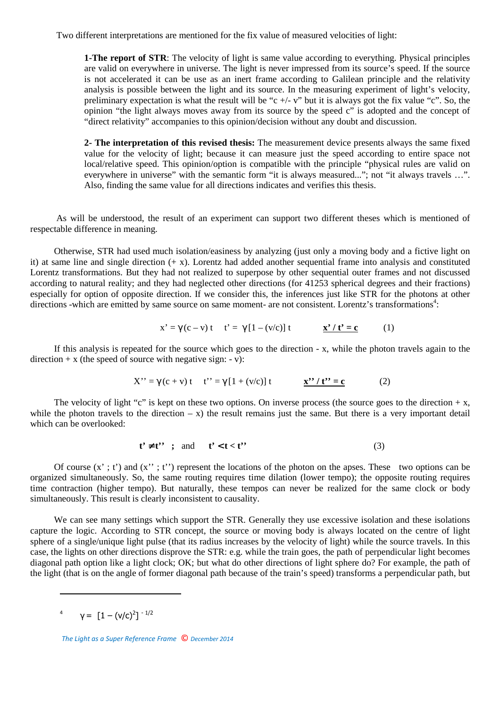Two different interpretations are mentioned for the fix value of measured velocities of light:

**1-The report of STR**: The velocity of light is same value according to everything. Physical principles are valid on everywhere in universe. The light is never impressed from its source's speed. If the source is not accelerated it can be use as an inert frame according to Galilean principle and the relativity analysis is possible between the light and its source. In the measuring experiment of light's velocity, preliminary expectation is what the result will be "c  $+/- v$ " but it is always got the fix value "c". So, the opinion "the light always moves away from its source by the speed c" is adopted and the concept of "direct relativity" accompanies to this opinion/decision without any doubt and discussion.

**2- The interpretation of this revised thesis:** The measurement device presents always the same fixed value for the velocity of light; because it can measure just the speed according to entire space not local/relative speed. This opinion/option is compatible with the principle "physical rules are valid on everywhere in universe" with the semantic form "it is always measured..."; not "it always travels ...". Also, finding the same value for all directions indicates and verifies this thesis.

 As will be understood, the result of an experiment can support two different theses which is mentioned of respectable difference in meaning.

Otherwise, STR had used much isolation/easiness by analyzing (just only a moving body and a fictive light on it) at same line and single direction  $(+ x)$ . Lorentz had added another sequential frame into analysis and constituted Lorentz transformations. But they had not realized to superpose by other sequential outer frames and not discussed according to natural reality; and they had neglected other directions (for 41253 spherical degrees and their fractions) especially for option of opposite direction. If we consider this, the inferences just like STR for the photons at other directions -which are emitted by same source on same moment- are not consistent. Lorentz's transformations<sup>4</sup>:

$$
x' = \gamma(c - v)t \quad t' = \gamma[1 - (v/c)]t \qquad \qquad \frac{x' / t' = c}{(1)}
$$

If this analysis is repeated for the source which goes to the direction - x, while the photon travels again to the direction  $+ x$  (the speed of source with negative sign:  $- v$ ):

$$
X'' = \gamma(c + v)t \quad t'' = \gamma[1 + (v/c)]t \qquad \qquad \underline{x''/t'' = c}
$$
 (2)

The velocity of light "c" is kept on these two options. On inverse process (the source goes to the direction  $+x$ , while the photon travels to the direction  $- x$ ) the result remains just the same. But there is a very important detail which can be overlooked:

$$
t' \neq t'' \quad ; \quad \text{and} \quad t' < t < t'' \tag{3}
$$

Of course  $(x', t')$  and  $(x'', t'')$  represent the locations of the photon on the apses. These two options can be organized simultaneously. So, the same routing requires time dilation (lower tempo); the opposite routing requires time contraction (higher tempo). But naturally, these tempos can never be realized for the same clock or body simultaneously. This result is clearly inconsistent to causality.

We can see many settings which support the STR. Generally they use excessive isolation and these isolations capture the logic. According to STR concept, the source or moving body is always located on the centre of light sphere of a single/unique light pulse (that its radius increases by the velocity of light) while the source travels. In this case, the lights on other directions disprove the STR: e.g. while the train goes, the path of perpendicular light becomes diagonal path option like a light clock; OK; but what do other directions of light sphere do? For example, the path of the light (that is on the angle of former diagonal path because of the train's speed) transforms a perpendicular path, but

 $\overline{\phantom{a}}$ 

<sup>&</sup>lt;sup>4</sup>  $γ = [1 - (v/c)^2]^{-1/2}$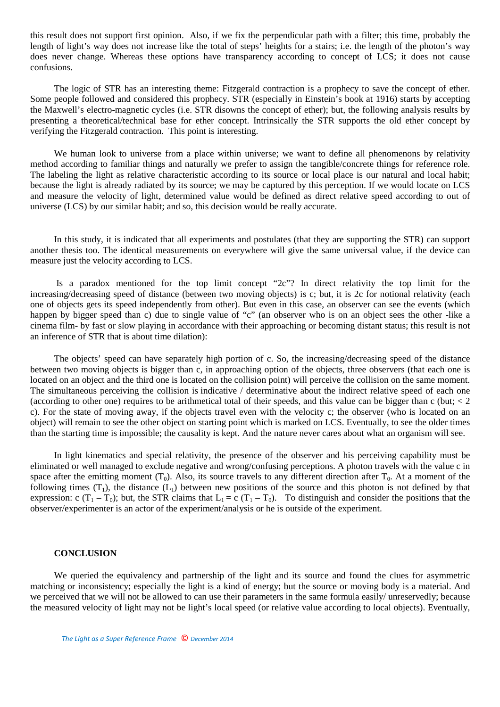this result does not support first opinion. Also, if we fix the perpendicular path with a filter; this time, probably the length of light's way does not increase like the total of steps' heights for a stairs; i.e. the length of the photon's way does never change. Whereas these options have transparency according to concept of LCS; it does not cause confusions.

The logic of STR has an interesting theme: Fitzgerald contraction is a prophecy to save the concept of ether. Some people followed and considered this prophecy. STR (especially in Einstein's book at 1916) starts by accepting the Maxwell's electro-magnetic cycles (i.e. STR disowns the concept of ether); but, the following analysis results by presenting a theoretical/technical base for ether concept. Intrinsically the STR supports the old ether concept by verifying the Fitzgerald contraction. This point is interesting.

We human look to universe from a place within universe; we want to define all phenomenons by relativity method according to familiar things and naturally we prefer to assign the tangible/concrete things for reference role. The labeling the light as relative characteristic according to its source or local place is our natural and local habit; because the light is already radiated by its source; we may be captured by this perception. If we would locate on LCS and measure the velocity of light, determined value would be defined as direct relative speed according to out of universe (LCS) by our similar habit; and so, this decision would be really accurate.

In this study, it is indicated that all experiments and postulates (that they are supporting the STR) can support another thesis too. The identical measurements on everywhere will give the same universal value, if the device can measure just the velocity according to LCS.

 Is a paradox mentioned for the top limit concept "2c"? In direct relativity the top limit for the increasing/decreasing speed of distance (between two moving objects) is c; but, it is 2c for notional relativity (each one of objects gets its speed independently from other). But even in this case, an observer can see the events (which happen by bigger speed than c) due to single value of "c" (an observer who is on an object sees the other -like a cinema film- by fast or slow playing in accordance with their approaching or becoming distant status; this result is not an inference of STR that is about time dilation):

The objects' speed can have separately high portion of c. So, the increasing/decreasing speed of the distance between two moving objects is bigger than c, in approaching option of the objects, three observers (that each one is located on an object and the third one is located on the collision point) will perceive the collision on the same moment. The simultaneous perceiving the collision is indicative / determinative about the indirect relative speed of each one (according to other one) requires to be arithmetical total of their speeds, and this value can be bigger than c (but;  $<$  2) c). For the state of moving away, if the objects travel even with the velocity c; the observer (who is located on an object) will remain to see the other object on starting point which is marked on LCS. Eventually, to see the older times than the starting time is impossible; the causality is kept. And the nature never cares about what an organism will see.

In light kinematics and special relativity, the presence of the observer and his perceiving capability must be eliminated or well managed to exclude negative and wrong/confusing perceptions. A photon travels with the value c in space after the emitting moment  $(T_0)$ . Also, its source travels to any different direction after  $T_0$ . At a moment of the following times  $(T_1)$ , the distance  $(L_1)$  between new positions of the source and this photon is not defined by that expression: c  $(T_1 - T_0)$ ; but, the STR claims that  $L_1 = c (T_1 - T_0)$ . To distinguish and consider the positions that the observer/experimenter is an actor of the experiment/analysis or he is outside of the experiment.

#### **CONCLUSION**

We queried the equivalency and partnership of the light and its source and found the clues for asymmetric matching or inconsistency; especially the light is a kind of energy; but the source or moving body is a material. And we perceived that we will not be allowed to can use their parameters in the same formula easily/ unreservedly; because the measured velocity of light may not be light's local speed (or relative value according to local objects). Eventually,